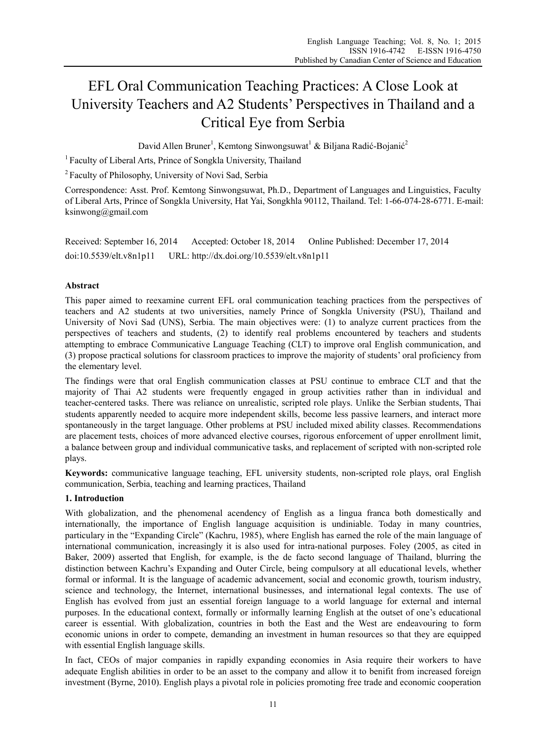# EFL Oral Communication Teaching Practices: A Close Look at University Teachers and A2 Students' Perspectives in Thailand and a Critical Eye from Serbia

David Allen Bruner<sup>1</sup>, Kemtong Sinwongsuwat<sup>1</sup> & Biljana Radić-Bojanić<sup>2</sup>

<sup>1</sup> Faculty of Liberal Arts, Prince of Songkla University, Thailand

2 Faculty of Philosophy, University of Novi Sad, Serbia

Correspondence: Asst. Prof. Kemtong Sinwongsuwat, Ph.D., Department of Languages and Linguistics, Faculty of Liberal Arts, Prince of Songkla University, Hat Yai, Songkhla 90112, Thailand. Tel: 1-66-074-28-6771. E-mail: ksinwong@gmail.com

Received: September 16, 2014 Accepted: October 18, 2014 Online Published: December 17, 2014 doi:10.5539/elt.v8n1p11 URL: http://dx.doi.org/10.5539/elt.v8n1p11

## **Abstract**

This paper aimed to reexamine current EFL oral communication teaching practices from the perspectives of teachers and A2 students at two universities, namely Prince of Songkla University (PSU), Thailand and University of Novi Sad (UNS), Serbia. The main objectives were: (1) to analyze current practices from the perspectives of teachers and students, (2) to identify real problems encountered by teachers and students attempting to embrace Communicative Language Teaching (CLT) to improve oral English communication, and (3) propose practical solutions for classroom practices to improve the majority of students' oral proficiency from the elementary level.

The findings were that oral English communication classes at PSU continue to embrace CLT and that the majority of Thai A2 students were frequently engaged in group activities rather than in individual and teacher-centered tasks. There was reliance on unrealistic, scripted role plays. Unlike the Serbian students, Thai students apparently needed to acquire more independent skills, become less passive learners, and interact more spontaneously in the target language. Other problems at PSU included mixed ability classes. Recommendations are placement tests, choices of more advanced elective courses, rigorous enforcement of upper enrollment limit, a balance between group and individual communicative tasks, and replacement of scripted with non-scripted role plays.

**Keywords:** communicative language teaching, EFL university students, non-scripted role plays, oral English communication, Serbia, teaching and learning practices, Thailand

#### **1. Introduction**

With globalization, and the phenomenal acendency of English as a lingua franca both domestically and internationally, the importance of English language acquisition is undiniable. Today in many countries, particulary in the "Expanding Circle" (Kachru, 1985), where English has earned the role of the main language of international communication, increasingly it is also used for intra-national purposes. Foley (2005, as cited in Baker, 2009) asserted that English, for example, is the de facto second language of Thailand, blurring the distinction between Kachru's Expanding and Outer Circle, being compulsory at all educational levels, whether formal or informal. It is the language of academic advancement, social and economic growth, tourism industry, science and technology, the Internet, international businesses, and international legal contexts. The use of English has evolved from just an essential foreign language to a world language for external and internal purposes. In the educational context, formally or informally learning English at the outset of one's educational career is essential. With globalization, countries in both the East and the West are endeavouring to form economic unions in order to compete, demanding an investment in human resources so that they are equipped with essential English language skills.

In fact, CEOs of major companies in rapidly expanding economies in Asia require their workers to have adequate English abilities in order to be an asset to the company and allow it to benifit from increased foreign investment (Byrne, 2010). English plays a pivotal role in policies promoting free trade and economic cooperation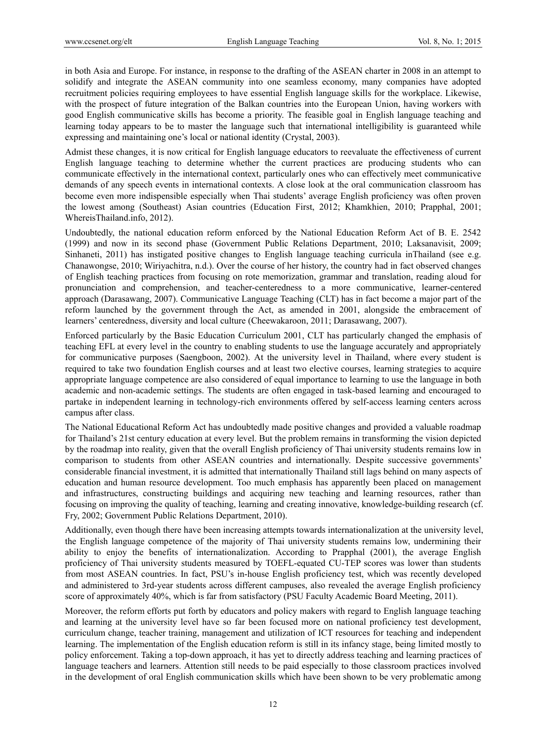in both Asia and Europe. For instance, in response to the drafting of the ASEAN charter in 2008 in an attempt to solidify and integrate the ASEAN community into one seamless economy, many companies have adopted recruitment policies requiring employees to have essential English language skills for the workplace. Likewise, with the prospect of future integration of the Balkan countries into the European Union, having workers with good English communicative skills has become a priority. The feasible goal in English language teaching and learning today appears to be to master the language such that international intelligibility is guaranteed while expressing and maintaining one's local or national identity (Crystal, 2003).

Admist these changes, it is now critical for English language educators to reevaluate the effectiveness of current English language teaching to determine whether the current practices are producing students who can communicate effectively in the international context, particularly ones who can effectively meet communicative demands of any speech events in international contexts. A close look at the oral communication classroom has become even more indispensible especially when Thai students' average English proficiency was often proven the lowest among (Southeast) Asian countries (Education First, 2012; Khamkhien, 2010; Prapphal, 2001; WhereisThailand.info, 2012).

Undoubtedly, the national education reform enforced by the National Education Reform Act of B. E. 2542 (1999) and now in its second phase (Government Public Relations Department, 2010; Laksanavisit, 2009; Sinhaneti, 2011) has instigated positive changes to English language teaching curricula inThailand (see e.g. Chanawongse, 2010; Wiriyachitra, n.d.). Over the course of her history, the country had in fact observed changes of English teaching practices from focusing on rote memorization, grammar and translation, reading aloud for pronunciation and comprehension, and teacher-centeredness to a more communicative, learner-centered approach (Darasawang, 2007). Communicative Language Teaching (CLT) has in fact become a major part of the reform launched by the government through the Act, as amended in 2001, alongside the embracement of learners' centeredness, diversity and local culture (Cheewakaroon, 2011; Darasawang, 2007).

Enforced particularly by the Basic Education Curriculum 2001, CLT has particularly changed the emphasis of teaching EFL at every level in the country to enabling students to use the language accurately and appropriately for communicative purposes (Saengboon, 2002). At the university level in Thailand, where every student is required to take two foundation English courses and at least two elective courses, learning strategies to acquire appropriate language competence are also considered of equal importance to learning to use the language in both academic and non-academic settings. The students are often engaged in task-based learning and encouraged to partake in independent learning in technology-rich environments offered by self-access learning centers across campus after class.

The National Educational Reform Act has undoubtedly made positive changes and provided a valuable roadmap for Thailand's 21st century education at every level. But the problem remains in transforming the vision depicted by the roadmap into reality, given that the overall English proficiency of Thai university students remains low in comparison to students from other ASEAN countries and internationally. Despite successive governments' considerable financial investment, it is admitted that internationally Thailand still lags behind on many aspects of education and human resource development. Too much emphasis has apparently been placed on management and infrastructures, constructing buildings and acquiring new teaching and learning resources, rather than focusing on improving the quality of teaching, learning and creating innovative, knowledge-building research (cf. Fry, 2002; Government Public Relations Department, 2010).

Additionally, even though there have been increasing attempts towards internationalization at the university level, the English language competence of the majority of Thai university students remains low, undermining their ability to enjoy the benefits of internationalization. According to Prapphal (2001), the average English proficiency of Thai university students measured by TOEFL-equated CU-TEP scores was lower than students from most ASEAN countries. In fact, PSU's in-house English proficiency test, which was recently developed and administered to 3rd-year students across different campuses, also revealed the average English proficiency score of approximately 40%, which is far from satisfactory (PSU Faculty Academic Board Meeting, 2011).

Moreover, the reform efforts put forth by educators and policy makers with regard to English language teaching and learning at the university level have so far been focused more on national proficiency test development, curriculum change, teacher training, management and utilization of ICT resources for teaching and independent learning. The implementation of the English education reform is still in its infancy stage, being limited mostly to policy enforcement. Taking a top-down approach, it has yet to directly address teaching and learning practices of language teachers and learners. Attention still needs to be paid especially to those classroom practices involved in the development of oral English communication skills which have been shown to be very problematic among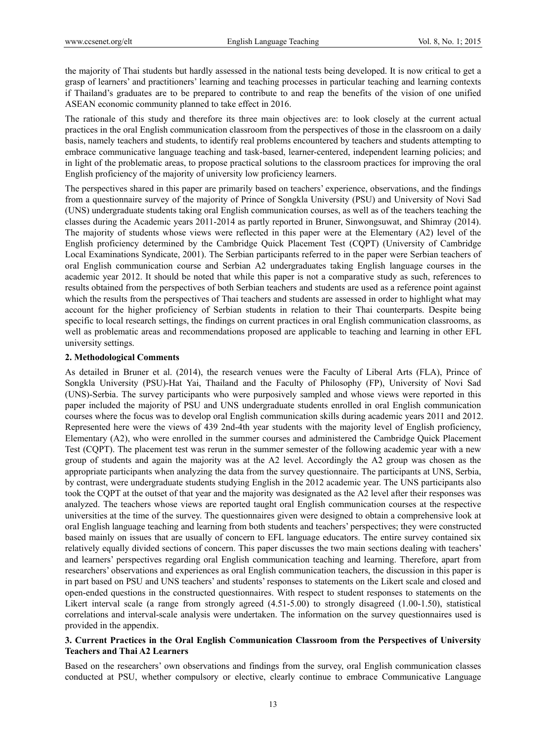the majority of Thai students but hardly assessed in the national tests being developed. It is now critical to get a grasp of learners' and practitioners' learning and teaching processes in particular teaching and learning contexts if Thailand's graduates are to be prepared to contribute to and reap the benefits of the vision of one unified ASEAN economic community planned to take effect in 2016.

The rationale of this study and therefore its three main objectives are: to look closely at the current actual practices in the oral English communication classroom from the perspectives of those in the classroom on a daily basis, namely teachers and students, to identify real problems encountered by teachers and students attempting to embrace communicative language teaching and task-based, learner-centered, independent learning policies; and in light of the problematic areas, to propose practical solutions to the classroom practices for improving the oral English proficiency of the majority of university low proficiency learners.

The perspectives shared in this paper are primarily based on teachers' experience, observations, and the findings from a questionnaire survey of the majority of Prince of Songkla University (PSU) and University of Novi Sad (UNS) undergraduate students taking oral English communication courses, as well as of the teachers teaching the classes during the Academic years 2011-2014 as partly reported in Bruner, Sinwongsuwat, and Shimray (2014). The majority of students whose views were reflected in this paper were at the Elementary (A2) level of the English proficiency determined by the Cambridge Quick Placement Test (CQPT) (University of Cambridge Local Examinations Syndicate, 2001). The Serbian participants referred to in the paper were Serbian teachers of oral English communication course and Serbian A2 undergraduates taking English language courses in the academic year 2012. It should be noted that while this paper is not a comparative study as such, references to results obtained from the perspectives of both Serbian teachers and students are used as a reference point against which the results from the perspectives of Thai teachers and students are assessed in order to highlight what may account for the higher proficiency of Serbian students in relation to their Thai counterparts. Despite being specific to local research settings, the findings on current practices in oral English communication classrooms, as well as problematic areas and recommendations proposed are applicable to teaching and learning in other EFL university settings.

#### **2. Methodological Comments**

As detailed in Bruner et al. (2014), the research venues were the Faculty of Liberal Arts (FLA), Prince of Songkla University (PSU)-Hat Yai, Thailand and the Faculty of Philosophy (FP), University of Novi Sad (UNS)-Serbia. The survey participants who were purposively sampled and whose views were reported in this paper included the majority of PSU and UNS undergraduate students enrolled in oral English communication courses where the focus was to develop oral English communication skills during academic years 2011 and 2012. Represented here were the views of 439 2nd-4th year students with the majority level of English proficiency, Elementary (A2), who were enrolled in the summer courses and administered the Cambridge Quick Placement Test (CQPT). The placement test was rerun in the summer semester of the following academic year with a new group of students and again the majority was at the A2 level. Accordingly the A2 group was chosen as the appropriate participants when analyzing the data from the survey questionnaire. The participants at UNS, Serbia, by contrast, were undergraduate students studying English in the 2012 academic year. The UNS participants also took the CQPT at the outset of that year and the majority was designated as the A2 level after their responses was analyzed. The teachers whose views are reported taught oral English communication courses at the respective universities at the time of the survey. The questionnaires given were designed to obtain a comprehensive look at oral English language teaching and learning from both students and teachers' perspectives; they were constructed based mainly on issues that are usually of concern to EFL language educators. The entire survey contained six relatively equally divided sections of concern. This paper discusses the two main sections dealing with teachers' and learners' perspectives regarding oral English communication teaching and learning. Therefore, apart from researchers' observations and experiences as oral English communication teachers, the discussion in this paper is in part based on PSU and UNS teachers' and students' responses to statements on the Likert scale and closed and open-ended questions in the constructed questionnaires. With respect to student responses to statements on the Likert interval scale (a range from strongly agreed (4.51-5.00) to strongly disagreed (1.00-1.50), statistical correlations and interval-scale analysis were undertaken. The information on the survey questionnaires used is provided in the appendix.

### **3. Current Practices in the Oral English Communication Classroom from the Perspectives of University Teachers and Thai A2 Learners**

Based on the researchers' own observations and findings from the survey, oral English communication classes conducted at PSU, whether compulsory or elective, clearly continue to embrace Communicative Language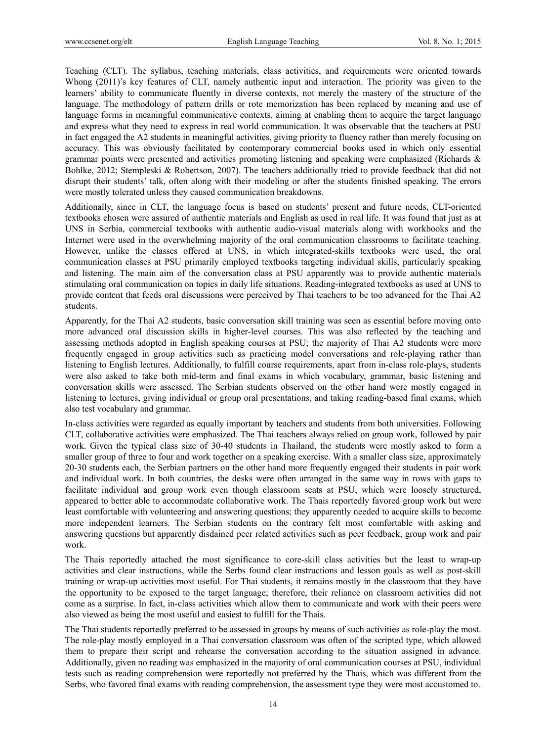Teaching (CLT). The syllabus, teaching materials, class activities, and requirements were oriented towards Whong (2011)'s key features of CLT, namely authentic input and interaction. The priority was given to the learners' ability to communicate fluently in diverse contexts, not merely the mastery of the structure of the language. The methodology of pattern drills or rote memorization has been replaced by meaning and use of language forms in meaningful communicative contexts, aiming at enabling them to acquire the target language and express what they need to express in real world communication. It was observable that the teachers at PSU in fact engaged the A2 students in meaningful activities, giving priority to fluency rather than merely focusing on accuracy. This was obviously facilitated by contemporary commercial books used in which only essential grammar points were presented and activities promoting listening and speaking were emphasized (Richards & Bohlke, 2012; Stempleski & Robertson, 2007). The teachers additionally tried to provide feedback that did not disrupt their students' talk, often along with their modeling or after the students finished speaking. The errors were mostly tolerated unless they caused communication breakdowns.

Additionally, since in CLT, the language focus is based on students' present and future needs, CLT-oriented textbooks chosen were assured of authentic materials and English as used in real life. It was found that just as at UNS in Serbia, commercial textbooks with authentic audio-visual materials along with workbooks and the Internet were used in the overwhelming majority of the oral communication classrooms to facilitate teaching. However, unlike the classes offered at UNS, in which integrated-skills textbooks were used, the oral communication classes at PSU primarily employed textbooks targeting individual skills, particularly speaking and listening. The main aim of the conversation class at PSU apparently was to provide authentic materials stimulating oral communication on topics in daily life situations. Reading-integrated textbooks as used at UNS to provide content that feeds oral discussions were perceived by Thai teachers to be too advanced for the Thai A2 students.

Apparently, for the Thai A2 students, basic conversation skill training was seen as essential before moving onto more advanced oral discussion skills in higher-level courses. This was also reflected by the teaching and assessing methods adopted in English speaking courses at PSU; the majority of Thai A2 students were more frequently engaged in group activities such as practicing model conversations and role-playing rather than listening to English lectures. Additionally, to fulfill course requirements, apart from in-class role-plays, students were also asked to take both mid-term and final exams in which vocabulary, grammar, basic listening and conversation skills were assessed. The Serbian students observed on the other hand were mostly engaged in listening to lectures, giving individual or group oral presentations, and taking reading-based final exams, which also test vocabulary and grammar.

In-class activities were regarded as equally important by teachers and students from both universities. Following CLT, collaborative activities were emphasized. The Thai teachers always relied on group work, followed by pair work. Given the typical class size of 30-40 students in Thailand, the students were mostly asked to form a smaller group of three to four and work together on a speaking exercise. With a smaller class size, approximately 20-30 students each, the Serbian partners on the other hand more frequently engaged their students in pair work and individual work. In both countries, the desks were often arranged in the same way in rows with gaps to facilitate individual and group work even though classroom seats at PSU, which were loosely structured, appeared to better able to accommodate collaborative work. The Thais reportedly favored group work but were least comfortable with volunteering and answering questions; they apparently needed to acquire skills to become more independent learners. The Serbian students on the contrary felt most comfortable with asking and answering questions but apparently disdained peer related activities such as peer feedback, group work and pair work.

The Thais reportedly attached the most significance to core-skill class activities but the least to wrap-up activities and clear instructions, while the Serbs found clear instructions and lesson goals as well as post-skill training or wrap-up activities most useful. For Thai students, it remains mostly in the classroom that they have the opportunity to be exposed to the target language; therefore, their reliance on classroom activities did not come as a surprise. In fact, in-class activities which allow them to communicate and work with their peers were also viewed as being the most useful and easiest to fulfill for the Thais.

The Thai students reportedly preferred to be assessed in groups by means of such activities as role-play the most. The role-play mostly employed in a Thai conversation classroom was often of the scripted type, which allowed them to prepare their script and rehearse the conversation according to the situation assigned in advance. Additionally, given no reading was emphasized in the majority of oral communication courses at PSU, individual tests such as reading comprehension were reportedly not preferred by the Thais, which was different from the Serbs, who favored final exams with reading comprehension, the assessment type they were most accustomed to.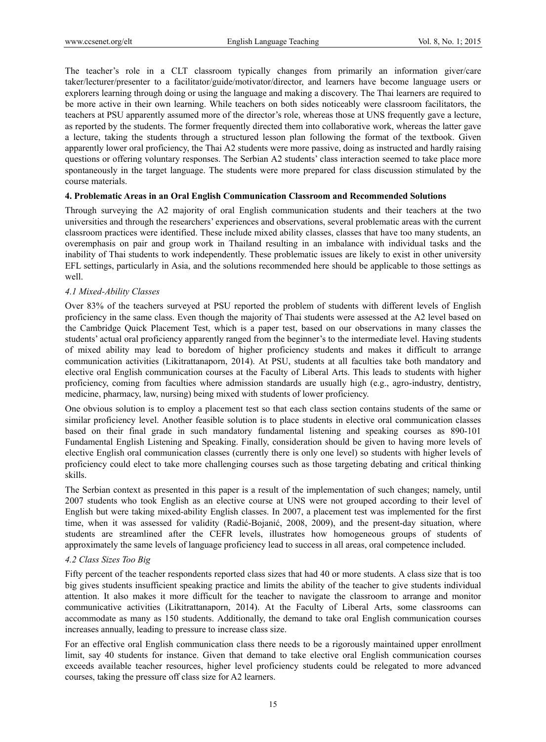The teacher's role in a CLT classroom typically changes from primarily an information giver/care taker/lecturer/presenter to a facilitator/guide/motivator/director, and learners have become language users or explorers learning through doing or using the language and making a discovery. The Thai learners are required to be more active in their own learning. While teachers on both sides noticeably were classroom facilitators, the teachers at PSU apparently assumed more of the director's role, whereas those at UNS frequently gave a lecture, as reported by the students. The former frequently directed them into collaborative work, whereas the latter gave a lecture, taking the students through a structured lesson plan following the format of the textbook. Given apparently lower oral proficiency, the Thai A2 students were more passive, doing as instructed and hardly raising questions or offering voluntary responses. The Serbian A2 students' class interaction seemed to take place more spontaneously in the target language. The students were more prepared for class discussion stimulated by the course materials.

#### **4. Problematic Areas in an Oral English Communication Classroom and Recommended Solutions**

Through surveying the A2 majority of oral English communication students and their teachers at the two universities and through the researchers' experiences and observations, several problematic areas with the current classroom practices were identified. These include mixed ability classes, classes that have too many students, an overemphasis on pair and group work in Thailand resulting in an imbalance with individual tasks and the inability of Thai students to work independently. These problematic issues are likely to exist in other university EFL settings, particularly in Asia, and the solutions recommended here should be applicable to those settings as well.

#### *4.1 Mixed-Ability Classes*

Over 83% of the teachers surveyed at PSU reported the problem of students with different levels of English proficiency in the same class. Even though the majority of Thai students were assessed at the A2 level based on the Cambridge Quick Placement Test, which is a paper test, based on our observations in many classes the students' actual oral proficiency apparently ranged from the beginner's to the intermediate level. Having students of mixed ability may lead to boredom of higher proficiency students and makes it difficult to arrange communication activities (Likitrattanaporn, 2014). At PSU, students at all faculties take both mandatory and elective oral English communication courses at the Faculty of Liberal Arts. This leads to students with higher proficiency, coming from faculties where admission standards are usually high (e.g., agro-industry, dentistry, medicine, pharmacy, law, nursing) being mixed with students of lower proficiency.

One obvious solution is to employ a placement test so that each class section contains students of the same or similar proficiency level. Another feasible solution is to place students in elective oral communication classes based on their final grade in such mandatory fundamental listening and speaking courses as 890-101 Fundamental English Listening and Speaking. Finally, consideration should be given to having more levels of elective English oral communication classes (currently there is only one level) so students with higher levels of proficiency could elect to take more challenging courses such as those targeting debating and critical thinking skills.

The Serbian context as presented in this paper is a result of the implementation of such changes; namely, until 2007 students who took English as an elective course at UNS were not grouped according to their level of English but were taking mixed-ability English classes. In 2007, a placement test was implemented for the first time, when it was assessed for validity (Radić-Bojanić, 2008, 2009), and the present-day situation, where students are streamlined after the CEFR levels, illustrates how homogeneous groups of students of approximately the same levels of language proficiency lead to success in all areas, oral competence included.

## *4.2 Class Sizes Too Big*

Fifty percent of the teacher respondents reported class sizes that had 40 or more students. A class size that is too big gives students insufficient speaking practice and limits the ability of the teacher to give students individual attention. It also makes it more difficult for the teacher to navigate the classroom to arrange and monitor communicative activities (Likitrattanaporn, 2014). At the Faculty of Liberal Arts, some classrooms can accommodate as many as 150 students. Additionally, the demand to take oral English communication courses increases annually, leading to pressure to increase class size.

For an effective oral English communication class there needs to be a rigorously maintained upper enrollment limit, say 40 students for instance. Given that demand to take elective oral English communication courses exceeds available teacher resources, higher level proficiency students could be relegated to more advanced courses, taking the pressure off class size for A2 learners.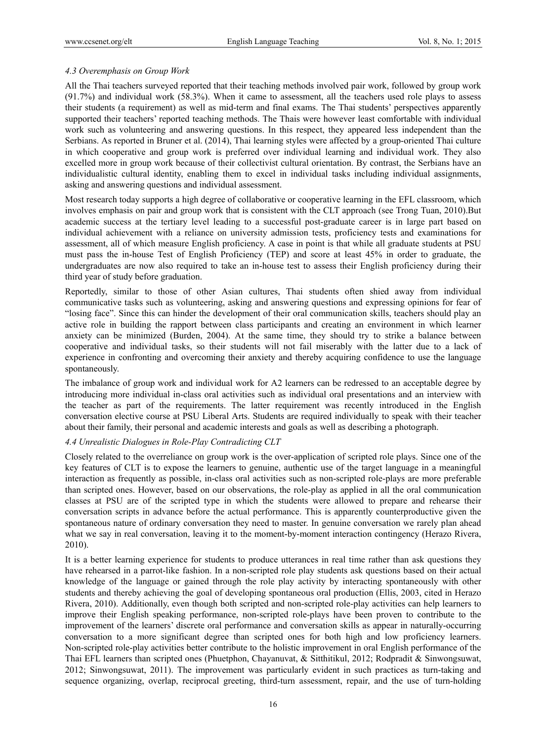#### *4.3 Overemphasis on Group Work*

All the Thai teachers surveyed reported that their teaching methods involved pair work, followed by group work (91.7%) and individual work (58.3%). When it came to assessment, all the teachers used role plays to assess their students (a requirement) as well as mid-term and final exams. The Thai students' perspectives apparently supported their teachers' reported teaching methods. The Thais were however least comfortable with individual work such as volunteering and answering questions. In this respect, they appeared less independent than the Serbians. As reported in Bruner et al. (2014), Thai learning styles were affected by a group-oriented Thai culture in which cooperative and group work is preferred over individual learning and individual work. They also excelled more in group work because of their collectivist cultural orientation. By contrast, the Serbians have an individualistic cultural identity, enabling them to excel in individual tasks including individual assignments, asking and answering questions and individual assessment.

Most research today supports a high degree of collaborative or cooperative learning in the EFL classroom, which involves emphasis on pair and group work that is consistent with the CLT approach (see Trong Tuan, 2010).But academic success at the tertiary level leading to a successful post-graduate career is in large part based on individual achievement with a reliance on university admission tests, proficiency tests and examinations for assessment, all of which measure English proficiency. A case in point is that while all graduate students at PSU must pass the in-house Test of English Proficiency (TEP) and score at least 45% in order to graduate, the undergraduates are now also required to take an in-house test to assess their English proficiency during their third year of study before graduation.

Reportedly, similar to those of other Asian cultures, Thai students often shied away from individual communicative tasks such as volunteering, asking and answering questions and expressing opinions for fear of "losing face". Since this can hinder the development of their oral communication skills, teachers should play an active role in building the rapport between class participants and creating an environment in which learner anxiety can be minimized (Burden, 2004). At the same time, they should try to strike a balance between cooperative and individual tasks, so their students will not fail miserably with the latter due to a lack of experience in confronting and overcoming their anxiety and thereby acquiring confidence to use the language spontaneously.

The imbalance of group work and individual work for A2 learners can be redressed to an acceptable degree by introducing more individual in-class oral activities such as individual oral presentations and an interview with the teacher as part of the requirements. The latter requirement was recently introduced in the English conversation elective course at PSU Liberal Arts. Students are required individually to speak with their teacher about their family, their personal and academic interests and goals as well as describing a photograph.

#### *4.4 Unrealistic Dialogues in Role-Play Contradicting CLT*

Closely related to the overreliance on group work is the over-application of scripted role plays. Since one of the key features of CLT is to expose the learners to genuine, authentic use of the target language in a meaningful interaction as frequently as possible, in-class oral activities such as non-scripted role-plays are more preferable than scripted ones. However, based on our observations, the role-play as applied in all the oral communication classes at PSU are of the scripted type in which the students were allowed to prepare and rehearse their conversation scripts in advance before the actual performance. This is apparently counterproductive given the spontaneous nature of ordinary conversation they need to master. In genuine conversation we rarely plan ahead what we say in real conversation, leaving it to the moment-by-moment interaction contingency (Herazo Rivera, 2010).

It is a better learning experience for students to produce utterances in real time rather than ask questions they have rehearsed in a parrot-like fashion. In a non-scripted role play students ask questions based on their actual knowledge of the language or gained through the role play activity by interacting spontaneously with other students and thereby achieving the goal of developing spontaneous oral production (Ellis, 2003, cited in Herazo Rivera, 2010). Additionally, even though both scripted and non-scripted role-play activities can help learners to improve their English speaking performance, non-scripted role-plays have been proven to contribute to the improvement of the learners' discrete oral performance and conversation skills as appear in naturally-occurring conversation to a more significant degree than scripted ones for both high and low proficiency learners. Non-scripted role-play activities better contribute to the holistic improvement in oral English performance of the Thai EFL learners than scripted ones (Phuetphon, Chayanuvat, & Sitthitikul, 2012; Rodpradit & Sinwongsuwat, 2012; Sinwongsuwat, 2011). The improvement was particularly evident in such practices as turn-taking and sequence organizing, overlap, reciprocal greeting, third-turn assessment, repair, and the use of turn-holding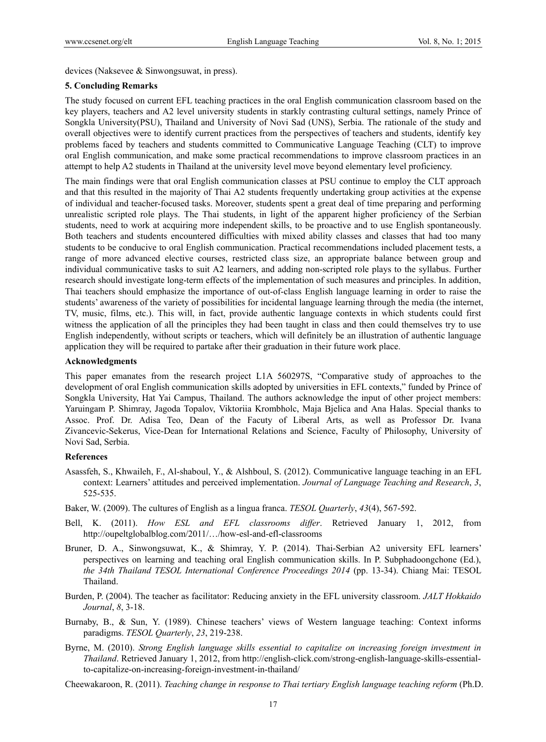devices (Naksevee & Sinwongsuwat, in press).

#### **5. Concluding Remarks**

The study focused on current EFL teaching practices in the oral English communication classroom based on the key players, teachers and A2 level university students in starkly contrasting cultural settings, namely Prince of Songkla University(PSU), Thailand and University of Novi Sad (UNS), Serbia. The rationale of the study and overall objectives were to identify current practices from the perspectives of teachers and students, identify key problems faced by teachers and students committed to Communicative Language Teaching (CLT) to improve oral English communication, and make some practical recommendations to improve classroom practices in an attempt to help A2 students in Thailand at the university level move beyond elementary level proficiency.

The main findings were that oral English communication classes at PSU continue to employ the CLT approach and that this resulted in the majority of Thai A2 students frequently undertaking group activities at the expense of individual and teacher-focused tasks. Moreover, students spent a great deal of time preparing and performing unrealistic scripted role plays. The Thai students, in light of the apparent higher proficiency of the Serbian students, need to work at acquiring more independent skills, to be proactive and to use English spontaneously. Both teachers and students encountered difficulties with mixed ability classes and classes that had too many students to be conducive to oral English communication. Practical recommendations included placement tests, a range of more advanced elective courses, restricted class size, an appropriate balance between group and individual communicative tasks to suit A2 learners, and adding non-scripted role plays to the syllabus. Further research should investigate long-term effects of the implementation of such measures and principles. In addition, Thai teachers should emphasize the importance of out-of-class English language learning in order to raise the students' awareness of the variety of possibilities for incidental language learning through the media (the internet, TV, music, films, etc.). This will, in fact, provide authentic language contexts in which students could first witness the application of all the principles they had been taught in class and then could themselves try to use English independently, without scripts or teachers, which will definitely be an illustration of authentic language application they will be required to partake after their graduation in their future work place.

#### **Acknowledgments**

This paper emanates from the research project L1A 560297S, "Comparative study of approaches to the development of oral English communication skills adopted by universities in EFL contexts," funded by Prince of Songkla University, Hat Yai Campus, Thailand. The authors acknowledge the input of other project members: Yaruingam P. Shimray, Jagoda Topalov, Viktoriia Krombholc, Maja Bjelica and Ana Halas. Special thanks to Assoc. Prof. Dr. Adisa Teo, Dean of the Facuty of Liberal Arts, as well as Professor Dr. Ivana Zivancevic-Sekerus, Vice-Dean for International Relations and Science, Faculty of Philosophy, University of Novi Sad, Serbia.

#### **References**

- Asassfeh, S., Khwaileh, F., Al-shaboul, Y., & Alshboul, S. (2012). Communicative language teaching in an EFL context: Learners' attitudes and perceived implementation. *Journal of Language Teaching and Research*, *3*, 525-535.
- Baker, W. (2009). The cultures of English as a lingua franca. *TESOL Quarterly*, *43*(4), 567-592.
- Bell, K. (2011). *How ESL and EFL classrooms differ*. Retrieved January 1, 2012, from http://oupeltglobalblog.com/2011/…/how-esl-and-efl-classrooms
- Bruner, D. A., Sinwongsuwat, K., & Shimray, Y. P. (2014). Thai-Serbian A2 university EFL learners' perspectives on learning and teaching oral English communication skills. In P. Subphadoongchone (Ed.), *the 34th Thailand TESOL International Conference Proceedings 2014* (pp. 13-34). Chiang Mai: TESOL Thailand.
- Burden, P. (2004). The teacher as facilitator: Reducing anxiety in the EFL university classroom. *JALT Hokkaido Journal*, *8*, 3-18.
- Burnaby, B., & Sun, Y. (1989). Chinese teachers' views of Western language teaching: Context informs paradigms. *TESOL Quarterly*, *23*, 219-238.
- Byrne, M. (2010). *Strong English language skills essential to capitalize on increasing foreign investment in Thailand*. Retrieved January 1, 2012, from http://english-click.com/strong-english-language-skills-essentialto-capitalize-on-increasing-foreign-investment-in-thailand/

Cheewakaroon, R. (2011). *Teaching change in response to Thai tertiary English language teaching reform* (Ph.D.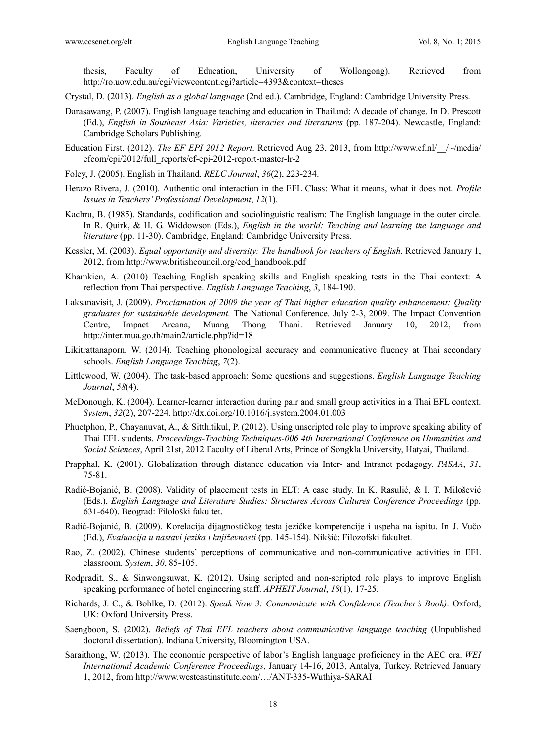thesis, Faculty of Education, University of Wollongong). Retrieved from http://ro.uow.edu.au/cgi/viewcontent.cgi?article=4393&context=theses

- Crystal, D. (2013). *English as a global language* (2nd ed.). Cambridge, England: Cambridge University Press.
- Darasawang, P. (2007). English language teaching and education in Thailand: A decade of change. In D. Prescott (Ed.), *English in Southeast Asia: Varieties, literacies and literatures* (pp. 187-204). Newcastle, England: Cambridge Scholars Publishing.
- Education First. (2012). *The EF EPI 2012 Report*. Retrieved Aug 23, 2013, from http://www.ef.nl/ /~/media/ efcom/epi/2012/full\_reports/ef-epi-2012-report-master-lr-2
- Foley, J. (2005). English in Thailand. *RELC Journal*, *36*(2), 223-234.
- Herazo Rivera, J. (2010). Authentic oral interaction in the EFL Class: What it means, what it does not. *Profile Issues in Teachers' Professional Development*, *12*(1).
- Kachru, B. (1985). Standards, codification and sociolinguistic realism: The English language in the outer circle. In R. Quirk, & H. G. Widdowson (Eds.), *English in the world: Teaching and learning the language and literature* (pp. 11-30). Cambridge, England: Cambridge University Press.
- Kessler, M. (2003). *Equal opportunity and diversity: The handbook for teachers of English*. Retrieved January 1, 2012, from http://www.britishcouncil.org/eod\_handbook.pdf
- Khamkien, A. (2010) Teaching English speaking skills and English speaking tests in the Thai context: A reflection from Thai perspective. *English Language Teaching*, *3*, 184-190.
- Laksanavisit, J. (2009). *Proclamation of 2009 the year of Thai higher education quality enhancement: Quality graduates for sustainable development.* The National Conference*.* July 2-3, 2009. The Impact Convention Centre, Impact Areana, Muang Thong Thani. Retrieved January 10, 2012, from http://inter.mua.go.th/main2/article.php?id=18
- Likitrattanaporn, W. (2014). Teaching phonological accuracy and communicative fluency at Thai secondary schools. *English Language Teaching*, *7*(2).
- Littlewood, W. (2004). The task-based approach: Some questions and suggestions. *English Language Teaching Journal*, *58*(4).
- McDonough, K. (2004). Learner-learner interaction during pair and small group activities in a Thai EFL context. *System*, *32*(2), 207-224. http://dx.doi.org/10.1016/j.system.2004.01.003
- Phuetphon, P., Chayanuvat, A., & Sitthitikul, P. (2012). Using unscripted role play to improve speaking ability of Thai EFL students. *Proceedings-Teaching Techniques-006 4th International Conference on Humanities and Social Sciences*, April 21st, 2012 Faculty of Liberal Arts, Prince of Songkla University, Hatyai, Thailand.
- Prapphal, K. (2001). Globalization through distance education via Inter- and Intranet pedagogy. *PASAA*, *31*, 75-81.
- Radić-Bojanić, B. (2008). Validity of placement tests in ELT: A case study. In K. Rasulić, & I. T. Milošević (Eds.), *English Language and Literature Studies: Structures Across Cultures Conference Proceedings* (pp. 631-640). Beograd: Filološki fakultet.
- Radić-Bojanić, B. (2009). Korelacija dijagnostičkog testa jezičke kompetencije i uspeha na ispitu. In J. Vučo (Ed.), *Evaluacija u nastavi jezika i književnosti* (pp. 145-154). Nikšić: Filozofski fakultet.
- Rao, Z. (2002). Chinese students' perceptions of communicative and non-communicative activities in EFL classroom. *System*, *30*, 85-105.
- Rodpradit, S., & Sinwongsuwat, K. (2012). Using scripted and non-scripted role plays to improve English speaking performance of hotel engineering staff. *APHEIT Journal*, *18*(1), 17-25.
- Richards, J. C., & Bohlke, D. (2012). *Speak Now 3: Communicate with Confidence (Teacher's Book)*. Oxford, UK: Oxford University Press.
- Saengboon, S. (2002). *Beliefs of Thai EFL teachers about communicative language teaching* (Unpublished doctoral dissertation). Indiana University, Bloomington USA.
- Saraithong, W. (2013). The economic perspective of labor's English language proficiency in the AEC era. *WEI International Academic Conference Proceedings*, January 14-16, 2013, Antalya, Turkey. Retrieved January 1, 2012, from http://www.westeastinstitute.com/…/ANT-335-Wuthiya-SARAI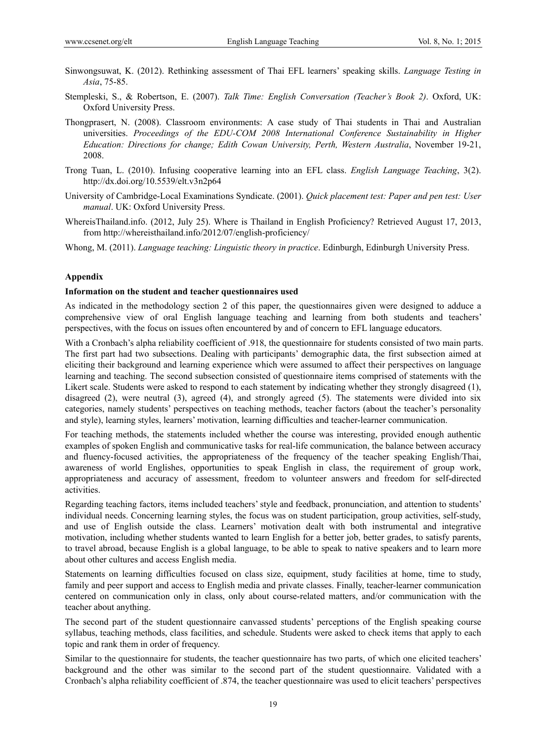- Sinwongsuwat, K. (2012). Rethinking assessment of Thai EFL learners' speaking skills. *Language Testing in Asia*, 75-85.
- Stempleski, S., & Robertson, E. (2007). *Talk Time: English Conversation (Teacher's Book 2)*. Oxford, UK: Oxford University Press.
- Thongprasert, N. (2008). Classroom environments: A case study of Thai students in Thai and Australian universities. *Proceedings of the EDU-COM 2008 International Conference Sustainability in Higher Education: Directions for change; Edith Cowan University, Perth, Western Australia*, November 19-21, 2008.
- Trong Tuan, L. (2010). Infusing cooperative learning into an EFL class. *English Language Teaching*, 3(2). http://dx.doi.org/10.5539/elt.v3n2p64
- University of Cambridge-Local Examinations Syndicate. (2001). *Quick placement test: Paper and pen test: User manual*. UK: Oxford University Press.
- WhereisThailand.info. (2012, July 25). Where is Thailand in English Proficiency? Retrieved August 17, 2013, from http://whereisthailand.info/2012/07/english-proficiency/

Whong, M. (2011). *Language teaching: Linguistic theory in practice*. Edinburgh, Edinburgh University Press.

#### **Appendix**

#### **Information on the student and teacher questionnaires used**

As indicated in the methodology section 2 of this paper, the questionnaires given were designed to adduce a comprehensive view of oral English language teaching and learning from both students and teachers' perspectives, with the focus on issues often encountered by and of concern to EFL language educators.

With a Cronbach's alpha reliability coefficient of .918, the questionnaire for students consisted of two main parts. The first part had two subsections. Dealing with participants' demographic data, the first subsection aimed at eliciting their background and learning experience which were assumed to affect their perspectives on language learning and teaching. The second subsection consisted of questionnaire items comprised of statements with the Likert scale. Students were asked to respond to each statement by indicating whether they strongly disagreed (1), disagreed (2), were neutral (3), agreed (4), and strongly agreed (5). The statements were divided into six categories, namely students' perspectives on teaching methods, teacher factors (about the teacher's personality and style), learning styles, learners' motivation, learning difficulties and teacher-learner communication.

For teaching methods, the statements included whether the course was interesting, provided enough authentic examples of spoken English and communicative tasks for real-life communication, the balance between accuracy and fluency-focused activities, the appropriateness of the frequency of the teacher speaking English/Thai, awareness of world Englishes, opportunities to speak English in class, the requirement of group work, appropriateness and accuracy of assessment, freedom to volunteer answers and freedom for self-directed activities.

Regarding teaching factors, items included teachers' style and feedback, pronunciation, and attention to students' individual needs. Concerning learning styles, the focus was on student participation, group activities, self-study, and use of English outside the class. Learners' motivation dealt with both instrumental and integrative motivation, including whether students wanted to learn English for a better job, better grades, to satisfy parents, to travel abroad, because English is a global language, to be able to speak to native speakers and to learn more about other cultures and access English media.

Statements on learning difficulties focused on class size, equipment, study facilities at home, time to study, family and peer support and access to English media and private classes. Finally, teacher-learner communication centered on communication only in class, only about course-related matters, and/or communication with the teacher about anything.

The second part of the student questionnaire canvassed students' perceptions of the English speaking course syllabus, teaching methods, class facilities, and schedule. Students were asked to check items that apply to each topic and rank them in order of frequency.

Similar to the questionnaire for students, the teacher questionnaire has two parts, of which one elicited teachers' background and the other was similar to the second part of the student questionnaire. Validated with a Cronbach's alpha reliability coefficient of .874, the teacher questionnaire was used to elicit teachers' perspectives